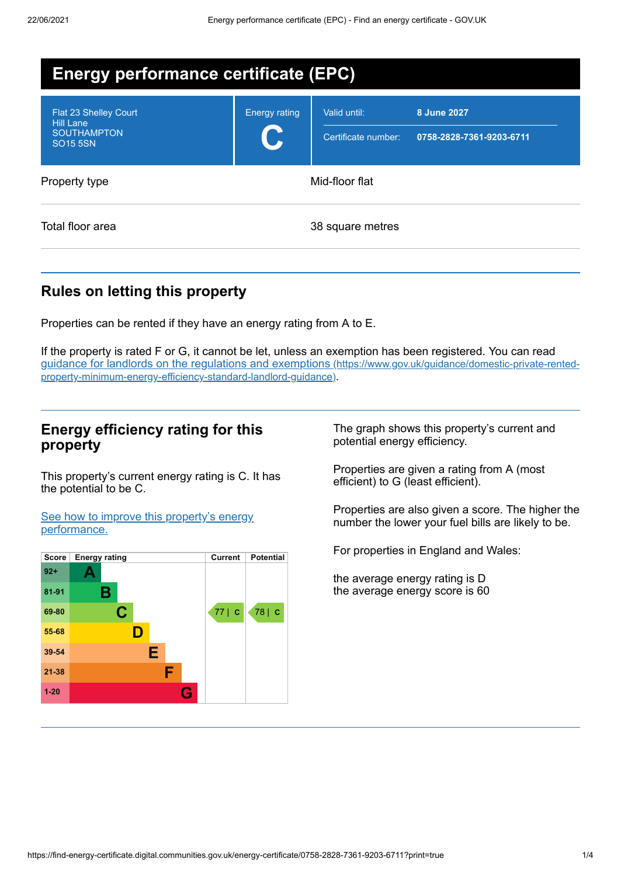| <b>Energy performance certificate (EPC)</b>                                               |                      |                                     |                                         |
|-------------------------------------------------------------------------------------------|----------------------|-------------------------------------|-----------------------------------------|
| <b>Flat 23 Shelley Court</b><br><b>Hill Lane</b><br><b>SOUTHAMPTON</b><br><b>SO15 5SN</b> | <b>Energy rating</b> | Valid until:<br>Certificate number: | 8 June 2027<br>0758-2828-7361-9203-6711 |
| Property type                                                                             | Mid-floor flat       |                                     |                                         |
| Total floor area                                                                          |                      | 38 square metres                    |                                         |

# **Rules on letting this property**

Properties can be rented if they have an energy rating from A to E.

If the property is rated F or G, it cannot be let, unless an exemption has been registered. You can read guidance for landlords on the regulations and exemptions (https://www.gov.uk/guidance/domestic-private-rented[property-minimum-energy-efficiency-standard-landlord-guidance\)](https://www.gov.uk/guidance/domestic-private-rented-property-minimum-energy-efficiency-standard-landlord-guidance).

## **Energy efficiency rating for this property**

This property's current energy rating is C. It has the potential to be C.

See how to improve this property's energy [performance.](#page-1-0)



The graph shows this property's current and potential energy efficiency.

Properties are given a rating from A (most efficient) to G (least efficient).

Properties are also given a score. The higher the number the lower your fuel bills are likely to be.

For properties in England and Wales:

the average energy rating is D the average energy score is 60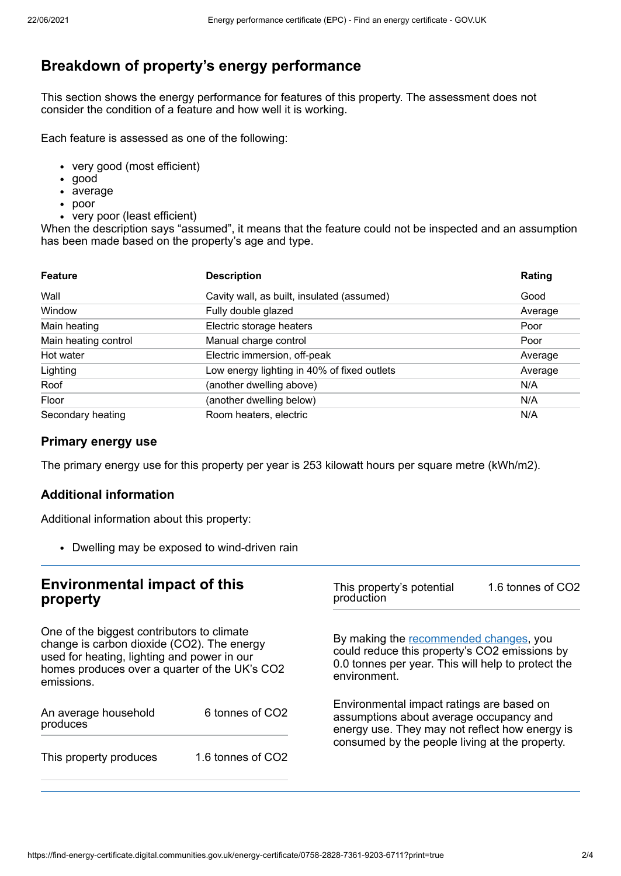# **Breakdown of property's energy performance**

This section shows the energy performance for features of this property. The assessment does not consider the condition of a feature and how well it is working.

Each feature is assessed as one of the following:

- very good (most efficient)
- good
- average
- poor
- very poor (least efficient)

When the description says "assumed", it means that the feature could not be inspected and an assumption has been made based on the property's age and type.

| <b>Feature</b>       | <b>Description</b>                          | Rating  |
|----------------------|---------------------------------------------|---------|
| Wall                 | Cavity wall, as built, insulated (assumed)  | Good    |
| Window               | Fully double glazed                         | Average |
| Main heating         | Electric storage heaters                    | Poor    |
| Main heating control | Manual charge control                       | Poor    |
| Hot water            | Electric immersion, off-peak                | Average |
| Lighting             | Low energy lighting in 40% of fixed outlets | Average |
| Roof                 | (another dwelling above)                    | N/A     |
| Floor                | (another dwelling below)                    | N/A     |
| Secondary heating    | Room heaters, electric                      | N/A     |

## **Primary energy use**

The primary energy use for this property per year is 253 kilowatt hours per square metre (kWh/m2).

### **Additional information**

Additional information about this property:

Dwelling may be exposed to wind-driven rain

<span id="page-1-0"></span>

| <b>Environmental impact of this</b><br>property<br>One of the biggest contributors to climate<br>change is carbon dioxide (CO2). The energy<br>used for heating, lighting and power in our<br>homes produces over a quarter of the UK's CO2<br>emissions. |                   | 1.6 tonnes of CO2<br>This property's potential<br>production<br>By making the recommended changes, you<br>could reduce this property's CO2 emissions by<br>0.0 tonnes per year. This will help to protect the<br>environment. |  |
|-----------------------------------------------------------------------------------------------------------------------------------------------------------------------------------------------------------------------------------------------------------|-------------------|-------------------------------------------------------------------------------------------------------------------------------------------------------------------------------------------------------------------------------|--|
|                                                                                                                                                                                                                                                           |                   |                                                                                                                                                                                                                               |  |
| This property produces                                                                                                                                                                                                                                    | 1.6 tonnes of CO2 |                                                                                                                                                                                                                               |  |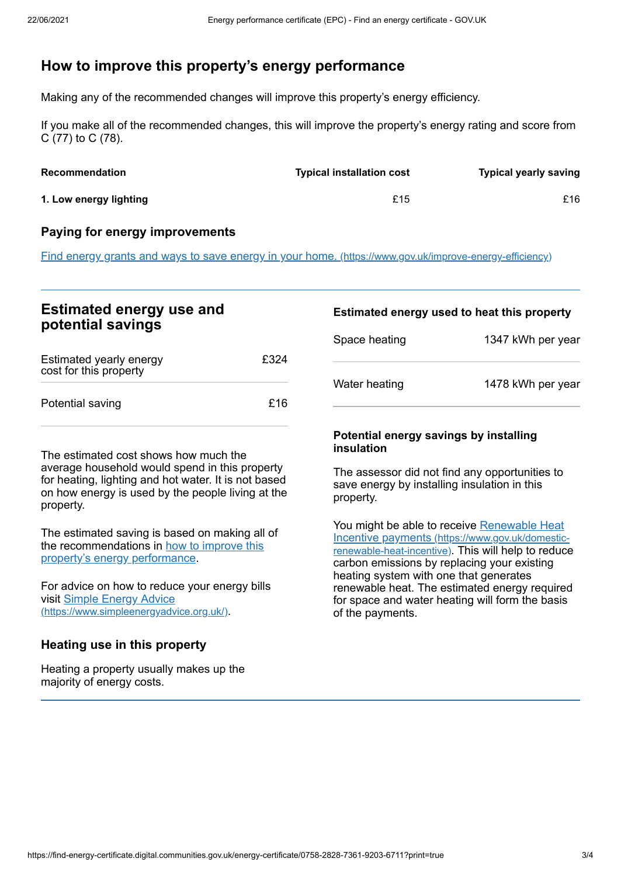## **How to improve this property's energy performance**

Making any of the recommended changes will improve this property's energy efficiency.

If you make all of the recommended changes, this will improve the property's energy rating and score from C (77) to C (78).

| <b>Recommendation</b>  | <b>Typical installation cost</b> | <b>Typical yearly saving</b> |
|------------------------|----------------------------------|------------------------------|
| 1. Low energy lighting | £15                              | £16                          |

#### **Paying for energy improvements**

Find energy grants and ways to save energy in your home. [\(https://www.gov.uk/improve-energy-efficiency\)](https://www.gov.uk/improve-energy-efficiency)

## **Estimated energy use and potential savings**

| Estimated yearly energy<br>cost for this property | £324 |
|---------------------------------------------------|------|
| Potential saving                                  | £16  |

The estimated cost shows how much the average household would spend in this property for heating, lighting and hot water. It is not based on how energy is used by the people living at the property.

The estimated saving is based on making all of the [recommendations](#page-1-0) in how to improve this property's energy performance.

For advice on how to reduce your energy bills visit Simple Energy Advice [\(https://www.simpleenergyadvice.org.uk/\)](https://www.simpleenergyadvice.org.uk/).

#### **Heating use in this property**

Heating a property usually makes up the majority of energy costs.

## **Estimated energy used to heat this property** Space heating 1347 kWh per year

| Space neaung  | 1347 KVVII DEI VEAI |
|---------------|---------------------|
| Water heating | 1478 kWh per year   |

#### **Potential energy savings by installing insulation**

The assessor did not find any opportunities to save energy by installing insulation in this property.

You might be able to receive Renewable Heat Incentive payments [\(https://www.gov.uk/domestic](https://www.gov.uk/domestic-renewable-heat-incentive)renewable-heat-incentive). This will help to reduce carbon emissions by replacing your existing heating system with one that generates renewable heat. The estimated energy required for space and water heating will form the basis of the payments.